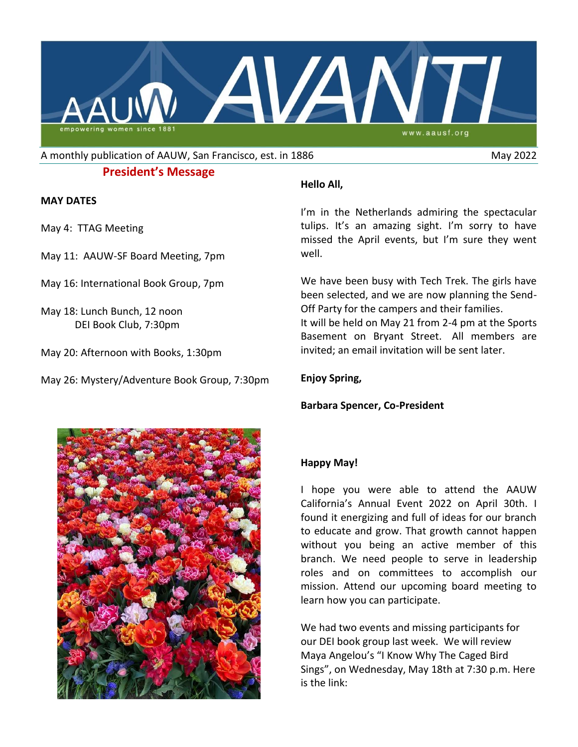

A monthly publication of AAUW, San Francisco, est. in 1886 May 2022

# **President's Message**

### **MAY DATES**

- May 4:TTAG Meeting
- May 11: AAUW-SF Board Meeting, 7pm
- May 16: International Book Group, 7pm
- May 18: Lunch Bunch, 12 noon DEI Book Club, 7:30pm
- May 20: Afternoon with Books, 1:30pm
- May 26: Mystery/Adventure Book Group, 7:30pm

# **Hello All,**

I'm in the Netherlands admiring the spectacular tulips. It's an amazing sight. I'm sorry to have missed the April events, but I'm sure they went well.

We have been busy with Tech Trek. The girls have been selected, and we are now planning the Send-Off Party for the campers and their families. It will be held on May 21 from 2-4 pm at the Sports Basement on Bryant Street. All members are invited; an email invitation will be sent later.

## **Enjoy Spring,**

# **Barbara Spencer, Co-President**



# **Happy May!**

I hope you were able to attend the AAUW California's Annual Event 2022 on April 30th. I found it energizing and full of ideas for our branch to educate and grow. That growth cannot happen without you being an active member of this branch. We need people to serve in leadership roles and on committees to accomplish our mission. Attend our upcoming board meeting to learn how you can participate.

We had two events and missing participants for our DEI book group last week. We will review Maya Angelou's "I Know Why The Caged Bird Sings", on Wednesday, May 18th at 7:30 p.m. Here is the link: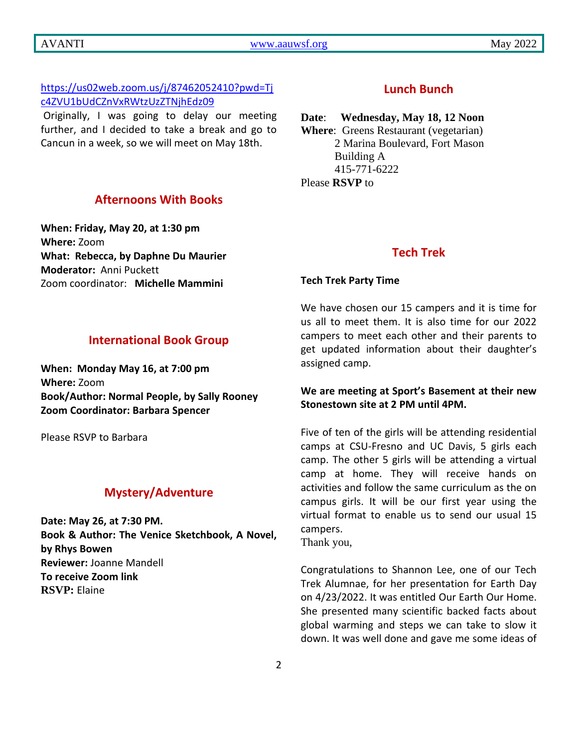# [https://us02web.zoom.us/j/87462052410?pwd=Tj](https://us02web.zoom.us/j/87462052410?pwd=Tjc4ZVU1bUdCZnVxRWtzUzZTNjhEdz09%20) [c4ZVU1bUdCZnVxRWtzUzZTNjhEdz09](https://us02web.zoom.us/j/87462052410?pwd=Tjc4ZVU1bUdCZnVxRWtzUzZTNjhEdz09%20)

Originally, I was going to delay our meeting further, and I decided to take a break and go to Cancun in a week, so we will meet on May 18th.

## **Afternoons With Books**

**When: Friday, May 20, at 1:30 pm Where:** Zoom **What: Rebecca, by Daphne Du Maurier Moderator:** Anni Puckett Zoom coordinator: **Michelle Mammini**

### **International Book Group**

**When: Monday May 16, at 7:00 pm Where:** Zoom **Book/Author: Normal People, by Sally Rooney Zoom Coordinator: Barbara Spencer**

Please RSVP to Barbara

# **Mystery/Adventure**

**Date: May 26, at 7:30 PM. Book & Author: The Venice Sketchbook, A Novel, by Rhys Bowen Reviewer:** Joanne Mandell **To receive Zoom link RSVP:** Elaine

# **Lunch Bunch**

#### **Date**: **Wednesday, May 18, 12 Noon**

**Where**: Greens Restaurant (vegetarian) 2 Marina Boulevard, Fort Mason Building A 415-771-6222 Please **RSVP** to

### **Tech Trek**

#### **Tech Trek Party Time**

We have chosen our 15 campers and it is time for us all to meet them. It is also time for our 2022 campers to meet each other and their parents to get updated information about their daughter's assigned camp.

## **We are meeting at Sport's Basement at their new Stonestown site at 2 PM until 4PM.**

Five of ten of the girls will be attending residential camps at CSU-Fresno and UC Davis, 5 girls each camp. The other 5 girls will be attending a virtual camp at home. They will receive hands on activities and follow the same curriculum as the on campus girls. It will be our first year using the virtual format to enable us to send our usual 15 campers.

Thank you,

Congratulations to Shannon Lee, one of our Tech Trek Alumnae, for her presentation for Earth Day on 4/23/2022. It was entitled Our Earth Our Home. She presented many scientific backed facts about global warming and steps we can take to slow it down. It was well done and gave me some ideas of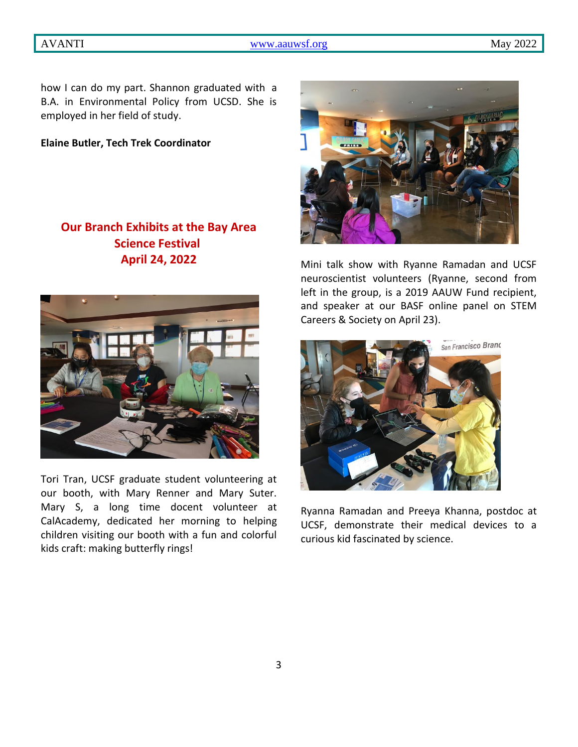how I can do my part. Shannon graduated with a B.A. in Environmental Policy from UCSD. She is employed in her field of study.

**Elaine Butler, Tech Trek Coordinator**

# **Our Branch Exhibits at the Bay Area Science Festival April 24, 2022**



Tori Tran, UCSF graduate student volunteering at our booth, with Mary Renner and Mary Suter. Mary S, a long time docent volunteer at CalAcademy, dedicated her morning to helping children visiting our booth with a fun and colorful kids craft: making butterfly rings!



Mini talk show with Ryanne Ramadan and UCSF neuroscientist volunteers (Ryanne, second from left in the group, is a 2019 AAUW Fund recipient, and speaker at our BASF online panel on STEM Careers & Society on April 23).



Ryanna Ramadan and Preeya Khanna, postdoc at UCSF, demonstrate their medical devices to a curious kid fascinated by science.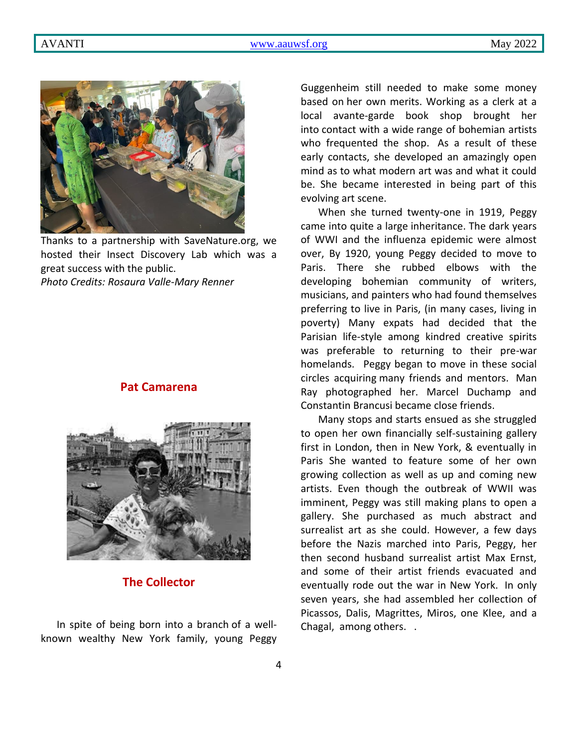

Thanks to a partnership with SaveNature.org, we hosted their Insect Discovery Lab which was a great success with the public.

*Photo Credits: Rosaura Valle-Mary Renner*

## **Pat Camarena**



**The Collector**

In spite of being born into a branch of a wellknown wealthy New York family, young Peggy Guggenheim still needed to make some money based on her own merits. Working as a clerk at a local avante-garde book shop brought her into contact with a wide range of bohemian artists who frequented the shop. As a result of these early contacts, she developed an amazingly open mind as to what modern art was and what it could be. She became interested in being part of this evolving art scene.

When she turned twenty-one in 1919, Peggy came into quite a large inheritance. The dark years of WWI and the influenza epidemic were almost over, By 1920, young Peggy decided to move to Paris. There she rubbed elbows with the developing bohemian community of writers, musicians, and painters who had found themselves preferring to live in Paris, (in many cases, living in poverty) Many expats had decided that the Parisian life-style among kindred creative spirits was preferable to returning to their pre-war homelands. Peggy began to move in these social circles acquiring many friends and mentors. Man Ray photographed her. Marcel Duchamp and Constantin Brancusi became close friends.

Many stops and starts ensued as she struggled to open her own financially self-sustaining gallery first in London, then in New York, & eventually in Paris She wanted to feature some of her own growing collection as well as up and coming new artists. Even though the outbreak of WWII was imminent, Peggy was still making plans to open a gallery. She purchased as much abstract and surrealist art as she could. However, a few days before the Nazis marched into Paris, Peggy, her then second husband surrealist artist Max Ernst, and some of their artist friends evacuated and eventually rode out the war in New York. In only seven years, she had assembled her collection of Picassos, Dalis, Magrittes, Miros, one Klee, and a Chagal, among others. .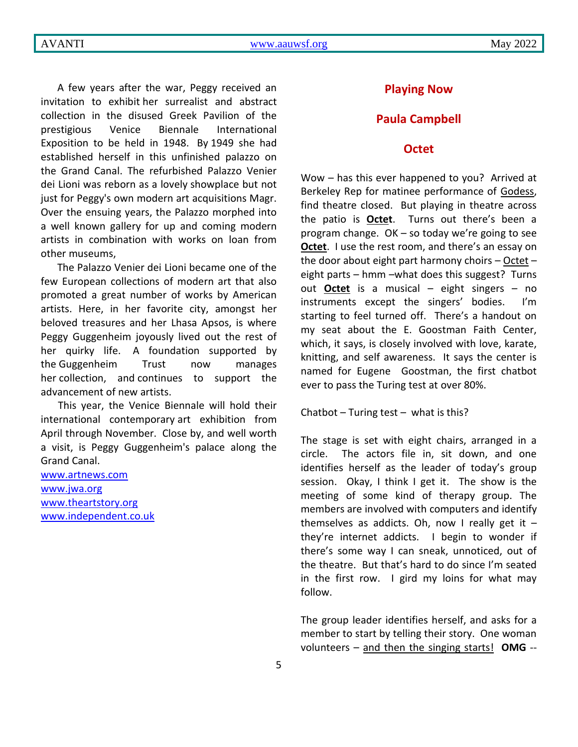A few years after the war, Peggy received an invitation to exhibit her surrealist and abstract collection in the disused Greek Pavilion of the prestigious Venice Biennale International Exposition to be held in 1948. By 1949 she had established herself in this unfinished palazzo on the Grand Canal. The refurbished Palazzo Venier dei Lioni was reborn as a lovely showplace but not just for Peggy's own modern art acquisitions Magr. Over the ensuing years, the Palazzo morphed into a well known gallery for up and coming modern artists in combination with works on loan from other museums,

The Palazzo Venier dei Lioni became one of the few European collections of modern art that also promoted a great number of works by American artists. Here, in her favorite city, amongst her beloved treasures and her Lhasa Apsos, is where Peggy Guggenheim joyously lived out the rest of her quirky life. A foundation supported by the Guggenheim Trust now manages her collection, and continues to support the advancement of new artists.

This year, the Venice Biennale will hold their international contemporary art exhibition from April through November. Close by, and well worth a visit, is Peggy Guggenheim's palace along the Grand Canal.

[www.artnews.com](http://www.artnews.com/) [www.jwa.org](http://www.jwa.org/) [www.theartstory.org](http://www.theartstory.org/) [www.independent.co.uk](http://www.independent.co.uk/)

## **Playing Now**

#### **Paula Campbell**

#### **Octet**

Wow – has this ever happened to you? Arrived at Berkeley Rep for matinee performance of Godess, find theatre closed. But playing in theatre across the patio is **Octet**. Turns out there's been a program change. OK – so today we're going to see **Octet**. I use the rest room, and there's an essay on the door about eight part harmony choirs – Octet – eight parts – hmm –what does this suggest? Turns out **Octet** is a musical – eight singers – no instruments except the singers' bodies. I'm starting to feel turned off. There's a handout on my seat about the E. Goostman Faith Center, which, it says, is closely involved with love, karate, knitting, and self awareness. It says the center is named for Eugene Goostman, the first chatbot ever to pass the Turing test at over 80%.

Chatbot  $-$  Turing test  $-$  what is this?

The stage is set with eight chairs, arranged in a circle. The actors file in, sit down, and one identifies herself as the leader of today's group session. Okay, I think I get it. The show is the meeting of some kind of therapy group. The members are involved with computers and identify themselves as addicts. Oh, now I really get it  $$ they're internet addicts. I begin to wonder if there's some way I can sneak, unnoticed, out of the theatre. But that's hard to do since I'm seated in the first row. I gird my loins for what may follow.

The group leader identifies herself, and asks for a member to start by telling their story. One woman volunteers – and then the singing starts! **OMG** --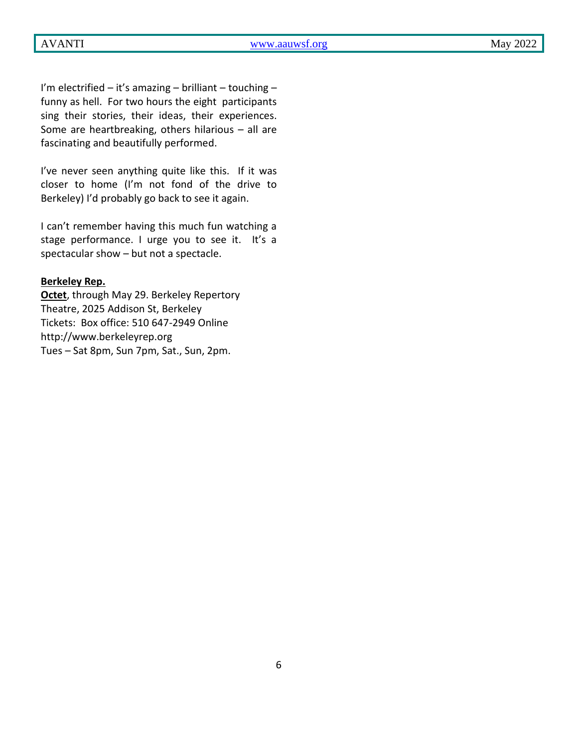I'm electrified – it's amazing – brilliant – touching – funny as hell. For two hours the eight participants sing their stories, their ideas, their experiences. Some are heartbreaking, others hilarious – all are fascinating and beautifully performed.

I've never seen anything quite like this. If it was closer to home (I'm not fond of the drive to Berkeley) I'd probably go back to see it again.

I can't remember having this much fun watching a stage performance. I urge you to see it. It's a spectacular show – but not a spectacle.

#### **Berkeley Rep.**

**Octet**, through May 29. Berkeley Repertory Theatre, 2025 Addison St, Berkeley Tickets: Box office: 510 647-2949 Online http://www.berkeleyrep.org Tues – Sat 8pm, Sun 7pm, Sat., Sun, 2pm.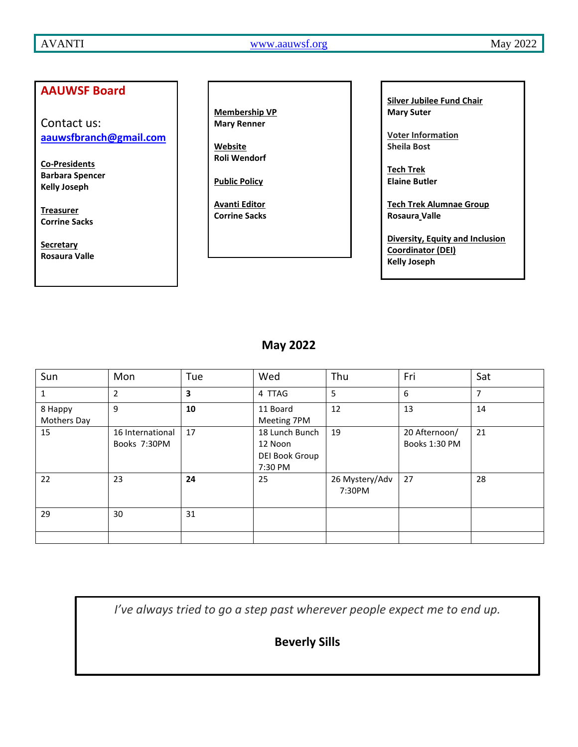AVANTI WWW.aauwsf.org May 2022

# **AAUWSF Board**

Contact us: **[aauwsfbranch@gmail.com](file:///C:/Users/Corrine/Documents/Avanti/aauwsfbranch@gmail.com)**

**Co-Presidents Barbara Spencer Kelly Joseph**

**Treasurer Corrine Sacks**

**Secretary Rosaura Valle** **Membership VP Mary Renner**

**Website Roli Wendorf**

**Public Policy**

**Avanti Editor Corrine Sacks** **Silver Jubilee Fund Chair Mary Suter**

**Voter Information Sheila Bost**

**Tech Trek Elaine Butler**

**Tech Trek Alumnae Group Rosaura Valle**

**Diversity, Equity and Inclusion Coordinator (DEI) Kelly Joseph**

# **May 2022**

| Sun                    | Mon                              | Tue | Wed                                                    | Thu                      | Fri                            | Sat |
|------------------------|----------------------------------|-----|--------------------------------------------------------|--------------------------|--------------------------------|-----|
| 1                      | $\overline{2}$                   | 3   | 4 TTAG                                                 | 5                        | 6                              | 7   |
| 8 Happy<br>Mothers Day | 9                                | 10  | 11 Board<br>Meeting 7PM                                | 12                       | 13                             | 14  |
| 15                     | 16 International<br>Books 7:30PM | 17  | 18 Lunch Bunch<br>12 Noon<br>DEI Book Group<br>7:30 PM | 19                       | 20 Afternoon/<br>Books 1:30 PM | 21  |
| 22                     | 23                               | 24  | 25                                                     | 26 Mystery/Adv<br>7:30PM | 27                             | 28  |
| 29                     | 30                               | 31  |                                                        |                          |                                |     |
|                        |                                  |     |                                                        |                          |                                |     |

*I've always tried to go a step past wherever people expect me to end up.*

**Beverly Sills**